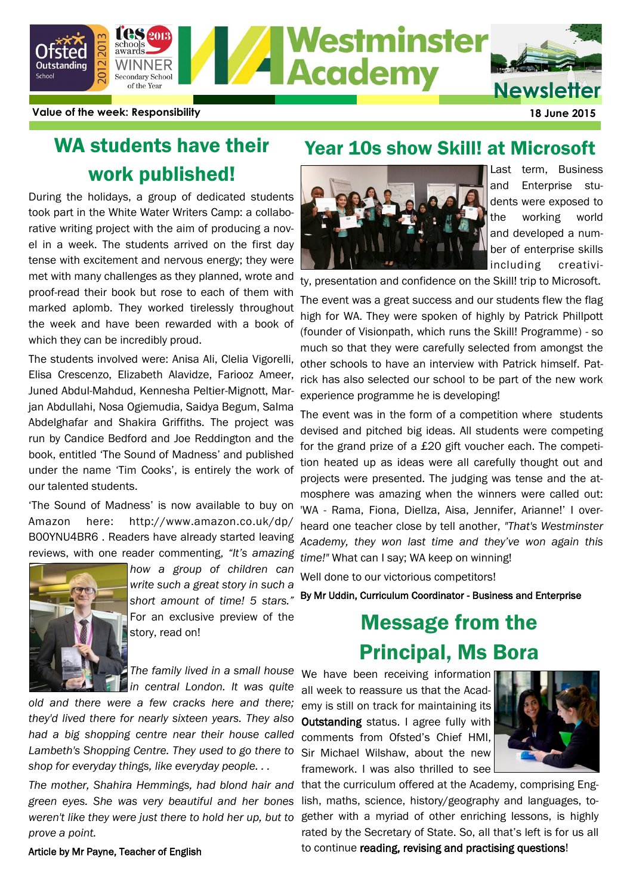

**Value of the week: Responsibility 18 June 2015**

## WA students have their work published!

met with many challenges as they planned, wrote and ty, presentation and confidence on the Skill! trip to Microsoft. During the holidays, a group of dedicated students took part in the White Water Writers Camp: a collaborative writing project with the aim of producing a novel in a week. The students arrived on the first day tense with excitement and nervous energy; they were proof-read their book but rose to each of them with marked aplomb. They worked tirelessly throughout the week and have been rewarded with a book of which they can be incredibly proud.

The students involved were: Anisa Ali, Clelia Vigorelli, Elisa Crescenzo, Elizabeth Alavidze, Fariooz Ameer, Juned Abdul-Mahdud, Kennesha Peltier-Mignott, Marjan Abdullahi, Nosa Ogiemudia, Saidya Begum, Salma Abdelghafar and Shakira Griffiths. The project was run by Candice Bedford and Joe Reddington and the book, entitled 'The Sound of Madness' and published under the name 'Tim Cooks', is entirely the work of our talented students.

'The Sound of Madness' is now available to buy on Amazon here: http://www.amazon.co.uk/dp/ B00YNU4BR6 . Readers have already started leaving reviews, with one reader commenting, *"It's amazing* 



*how a group of children can write such a great story in such a*  short amount of time! 5 stars. For an exclusive preview of the story, read on!

The family lived in a small house We have been receiving information *in central London. It was quite* 

*old and there were a few cracks here and there; they'd lived there for nearly sixteen years. They also had a big shopping centre near their house called Lambeth's Shopping Centre. They used to go there to shop for everyday things, like everyday people. . .*

*The mother, Shahira Hemmings, had blond hair and green eyes. She was very beautiful and her bones weren't like they were just there to hold her up, but to prove a point.*

### Year 10s show Skill! at Microsoft



Last term, Business and Enterprise students were exposed to the working world and developed a number of enterprise skills including creativi-

The event was a great success and our students flew the flag high for WA. They were spoken of highly by Patrick Phillpott (founder of Visionpath, which runs the Skill! Programme) - so much so that they were carefully selected from amongst the other schools to have an interview with Patrick himself. Patrick has also selected our school to be part of the new work experience programme he is developing!

The event was in the form of a competition where students devised and pitched big ideas. All students were competing for the grand prize of a £20 gift voucher each. The competition heated up as ideas were all carefully thought out and projects were presented. The judging was tense and the atmosphere was amazing when the winners were called out: 'WA - Rama, Fiona, Diellza, Aisa, Jennifer, Arianne!' I overheard one teacher close by tell another, *"That's Westminster Academy, they won last time and they've won again this time!"* What can I say; WA keep on winning!

Well done to our victorious competitors!

By Mr Uddin, Curriculum Coordinator - Business and Enterprise

## Message from the Principal, Ms Bora

all week to reassure us that the Academy is still on track for maintaining its Outstanding status. I agree fully with comments from Ofsted's Chief HMI, Sir Michael Wilshaw, about the new framework. I was also thrilled to see



that the curriculum offered at the Academy, comprising English, maths, science, history/geography and languages, together with a myriad of other enriching lessons, is highly rated by the Secretary of State. So, all that's left is for us all to continue reading, revising and practising questions!

Article by Mr Payne, Teacher of English